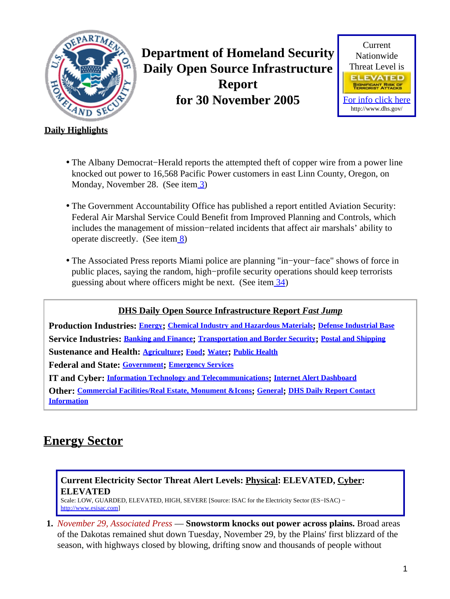<span id="page-0-1"></span>

**Department of Homeland Security Daily Open Source Infrastructure Report for 30 November 2005**



### **Daily Highlights**

- The Albany Democrat−Herald reports the attempted theft of copper wire from a power line knocked out power to 16,568 Pacific Power customers in east Linn County, Oregon, on Monday, November 28. (See ite[m 3](#page-1-0))
- The Government Accountability Office has published a report entitled Aviation Security: Federal Air Marshal Service Could Benefit from Improved Planning and Controls, which includes the management of mission−related incidents that affect air marshals' ability to operate discreetly. (See ite[m 8\)](#page-3-0)
- The Associated Press reports Miami police are planning "in−your−face" shows of force in public places, saying the random, high−profile security operations should keep terrorists guessing about where officers might be next. (See item  $\frac{34}{3}$ )

### **DHS Daily Open Source Infrastructure Report** *Fast Jump*

**Production Industries: [Energy](#page-0-0); [Chemical Industry and Hazardous Materials](#page-1-1); [Defense Industrial Base](#page-2-0) Service Industries: [Banking and Finance](#page-2-1); [Transportation and Border Security](#page-3-1); [Postal and Shipping](#page-4-0) Sustenance and Health: [Agriculture](#page-4-1); [Food](#page-6-0); [Water](#page-6-1); [Public Health](#page-6-2) Federal and State: [Government](#page-8-0); [Emergency Services](#page-8-1) IT and Cyber: [Information Technology and Telecommunications](#page-9-0); [Internet Alert Dashboard](#page-12-0) Other: [Commercial Facilities/Real Estate, Monument &Icons](#page-13-1); [General](#page-13-2); [DHS Daily Report Contact](#page-14-0) [Information](#page-14-0)**

# <span id="page-0-0"></span>**Energy Sector**

### **Current Electricity Sector Threat Alert Levels: Physical: ELEVATED, Cyber: ELEVATED**

Scale: LOW, GUARDED, ELEVATED, HIGH, SEVERE [Source: ISAC for the Electricity Sector (ES−ISAC) − [http://www.esisac.com](http://esisac.com)]

**1.** *November 29, Associated Press* — **Snowstorm knocks out power across plains.** Broad areas of the Dakotas remained shut down Tuesday, November 29, by the Plains' first blizzard of the season, with highways closed by blowing, drifting snow and thousands of people without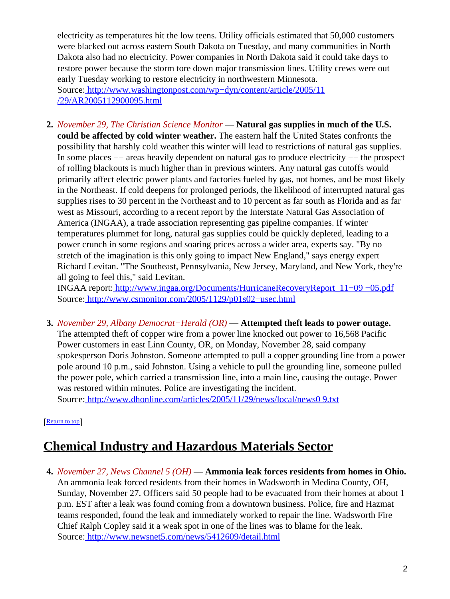electricity as temperatures hit the low teens. Utility officials estimated that 50,000 customers were blacked out across eastern South Dakota on Tuesday, and many communities in North Dakota also had no electricity. Power companies in North Dakota said it could take days to restore power because the storm tore down major transmission lines. Utility crews were out early Tuesday working to restore electricity in northwestern Minnesota. Source[: http://www.washingtonpost.com/wp−dyn/content/article/2005/11](http://www.washingtonpost.com/wp-dyn/content/article/2005/11/29/AR2005112900095.html) [/29/AR2005112900095.html](http://www.washingtonpost.com/wp-dyn/content/article/2005/11/29/AR2005112900095.html)

**2.** *November 29, The Christian Science Monitor* — **Natural gas supplies in much of the U.S. could be affected by cold winter weather.** The eastern half the United States confronts the possibility that harshly cold weather this winter will lead to restrictions of natural gas supplies. In some places −− areas heavily dependent on natural gas to produce electricity −− the prospect of rolling blackouts is much higher than in previous winters. Any natural gas cutoffs would primarily affect electric power plants and factories fueled by gas, not homes, and be most likely in the Northeast. If cold deepens for prolonged periods, the likelihood of interrupted natural gas supplies rises to 30 percent in the Northeast and to 10 percent as far south as Florida and as far west as Missouri, according to a recent report by the Interstate Natural Gas Association of America (INGAA), a trade association representing gas pipeline companies. If winter temperatures plummet for long, natural gas supplies could be quickly depleted, leading to a power crunch in some regions and soaring prices across a wider area, experts say. "By no stretch of the imagination is this only going to impact New England," says energy expert Richard Levitan. "The Southeast, Pennsylvania, New Jersey, Maryland, and New York, they're all going to feel this," said Levitan.

INGAA report: [http://www.ingaa.org/Documents/HurricaneRecoveryReport\\_11−09 −05.pdf](http://www.ingaa.org/Documents/HurricaneRecoveryReport_11-09-05.pdf) Source[: http://www.csmonitor.com/2005/1129/p01s02−usec.html](http://www.csmonitor.com/2005/1129/p01s02-usec.html)

<span id="page-1-0"></span>**3.** *November 29, Albany Democrat−Herald (OR)* — **Attempted theft leads to power outage.** The attempted theft of copper wire from a power line knocked out power to 16,568 Pacific Power customers in east Linn County, OR, on Monday, November 28, said company spokesperson Doris Johnston. Someone attempted to pull a copper grounding line from a power pole around 10 p.m., said Johnston. Using a vehicle to pull the grounding line, someone pulled the power pole, which carried a transmission line, into a main line, causing the outage. Power was restored within minutes. Police are investigating the incident. Source[: http://www.dhonline.com/articles/2005/11/29/news/local/news0 9.txt](http://www.dhonline.com/articles/2005/11/29/news/local/news09.txt)

[[Return to top](#page-0-1)]

# <span id="page-1-1"></span>**Chemical Industry and Hazardous Materials Sector**

**4.** *November 27, News Channel 5 (OH)* — **Ammonia leak forces residents from homes in Ohio.** An ammonia leak forced residents from their homes in Wadsworth in Medina County, OH, Sunday, November 27. Officers said 50 people had to be evacuated from their homes at about 1 p.m. EST after a leak was found coming from a downtown business. Police, fire and Hazmat teams responded, found the leak and immediately worked to repair the line. Wadsworth Fire Chief Ralph Copley said it a weak spot in one of the lines was to blame for the leak. Source[: http://www.newsnet5.com/news/5412609/detail.html](http://www.newsnet5.com/news/5412609/detail.html)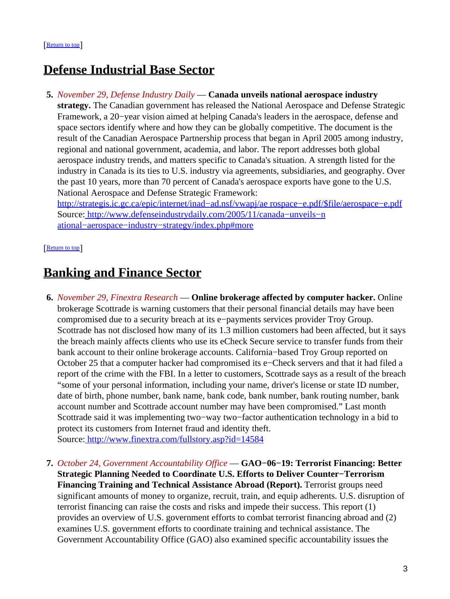## <span id="page-2-0"></span>**Defense Industrial Base Sector**

**5.** *November 29, Defense Industry Daily* — **Canada unveils national aerospace industry strategy.** The Canadian government has released the National Aerospace and Defense Strategic Framework, a 20−year vision aimed at helping Canada's leaders in the aerospace, defense and space sectors identify where and how they can be globally competitive. The document is the result of the Canadian Aerospace Partnership process that began in April 2005 among industry, regional and national government, academia, and labor. The report addresses both global aerospace industry trends, and matters specific to Canada's situation. A strength listed for the industry in Canada is its ties to U.S. industry via agreements, subsidiaries, and geography. Over the past 10 years, more than 70 percent of Canada's aerospace exports have gone to the U.S. National Aerospace and Defense Strategic Framework: [http://strategis.ic.gc.ca/epic/internet/inad−ad.nsf/vwapj/ae rospace−e.pdf/\\$file/aerospace−e.pdf](http://strategis.ic.gc.ca/epic/internet/inad-ad.nsf/vwapj/aerospace-e.pdf/$file/aerospace-e.pdf) Source[: http://www.defenseindustrydaily.com/2005/11/canada−unveils−n](http://www.defenseindustrydaily.com/2005/11/canada-unveils-national-aerospace-industry-strategy/index.php#more)

[ational−aerospace−industry−strategy/index.php#more](http://www.defenseindustrydaily.com/2005/11/canada-unveils-national-aerospace-industry-strategy/index.php#more)

[[Return to top](#page-0-1)]

## <span id="page-2-1"></span>**Banking and Finance Sector**

- **6.** *November 29, Finextra Research* — **Online brokerage affected by computer hacker.** Online brokerage Scottrade is warning customers that their personal financial details may have been compromised due to a security breach at its e−payments services provider Troy Group. Scottrade has not disclosed how many of its 1.3 million customers had been affected, but it says the breach mainly affects clients who use its eCheck Secure service to transfer funds from their bank account to their online brokerage accounts. California−based Troy Group reported on October 25 that a computer hacker had compromised its e−Check servers and that it had filed a report of the crime with the FBI. In a letter to customers, Scottrade says as a result of the breach "some of your personal information, including your name, driver's license or state ID number, date of birth, phone number, bank name, bank code, bank number, bank routing number, bank account number and Scottrade account number may have been compromised." Last month Scottrade said it was implementing two−way two−factor authentication technology in a bid to protect its customers from Internet fraud and identity theft. Source[: http://www.finextra.com/fullstory.asp?id=14584](http://www.finextra.com/fullstory.asp?id=14584)
- **7.** *October 24, Government Accountability Office* — **GAO−06−19: Terrorist Financing: Better Strategic Planning Needed to Coordinate U.S. Efforts to Deliver Counter−Terrorism Financing Training and Technical Assistance Abroad (Report).** Terrorist groups need significant amounts of money to organize, recruit, train, and equip adherents. U.S. disruption of terrorist financing can raise the costs and risks and impede their success. This report (1) provides an overview of U.S. government efforts to combat terrorist financing abroad and (2) examines U.S. government efforts to coordinate training and technical assistance. The Government Accountability Office (GAO) also examined specific accountability issues the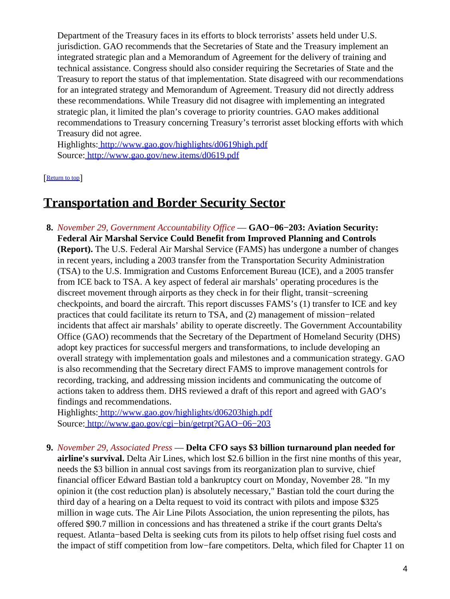Department of the Treasury faces in its efforts to block terrorists' assets held under U.S. jurisdiction. GAO recommends that the Secretaries of State and the Treasury implement an integrated strategic plan and a Memorandum of Agreement for the delivery of training and technical assistance. Congress should also consider requiring the Secretaries of State and the Treasury to report the status of that implementation. State disagreed with our recommendations for an integrated strategy and Memorandum of Agreement. Treasury did not directly address these recommendations. While Treasury did not disagree with implementing an integrated strategic plan, it limited the plan's coverage to priority countries. GAO makes additional recommendations to Treasury concerning Treasury's terrorist asset blocking efforts with which Treasury did not agree.

Highlights:<http://www.gao.gov/highlights/d0619high.pdf> Source[: http://www.gao.gov/new.items/d0619.pdf](http://www.gao.gov/new.items/d0619.pdf)

[[Return to top](#page-0-1)]

### <span id="page-3-1"></span>**Transportation and Border Security Sector**

<span id="page-3-0"></span>**8.** *November 29, Government Accountability Office* — **GAO−06−203: Aviation Security: Federal Air Marshal Service Could Benefit from Improved Planning and Controls (Report).** The U.S. Federal Air Marshal Service (FAMS) has undergone a number of changes in recent years, including a 2003 transfer from the Transportation Security Administration (TSA) to the U.S. Immigration and Customs Enforcement Bureau (ICE), and a 2005 transfer from ICE back to TSA. A key aspect of federal air marshals' operating procedures is the discreet movement through airports as they check in for their flight, transit−screening checkpoints, and board the aircraft. This report discusses FAMS's (1) transfer to ICE and key practices that could facilitate its return to TSA, and (2) management of mission−related incidents that affect air marshals' ability to operate discreetly. The Government Accountability Office (GAO) recommends that the Secretary of the Department of Homeland Security (DHS) adopt key practices for successful mergers and transformations, to include developing an overall strategy with implementation goals and milestones and a communication strategy. GAO is also recommending that the Secretary direct FAMS to improve management controls for recording, tracking, and addressing mission incidents and communicating the outcome of actions taken to address them. DHS reviewed a draft of this report and agreed with GAO's findings and recommendations.

Highlights:<http://www.gao.gov/highlights/d06203high.pdf> Source[: http://www.gao.gov/cgi−bin/getrpt?GAO−06−203](http://www.gao.gov/cgi-bin/getrpt?GAO-06-203)

**9.** *November 29, Associated Press* — **Delta CFO says \$3 billion turnaround plan needed for airline's survival.** Delta Air Lines, which lost \$2.6 billion in the first nine months of this year, needs the \$3 billion in annual cost savings from its reorganization plan to survive, chief financial officer Edward Bastian told a bankruptcy court on Monday, November 28. "In my opinion it (the cost reduction plan) is absolutely necessary," Bastian told the court during the third day of a hearing on a Delta request to void its contract with pilots and impose \$325 million in wage cuts. The Air Line Pilots Association, the union representing the pilots, has offered \$90.7 million in concessions and has threatened a strike if the court grants Delta's request. Atlanta−based Delta is seeking cuts from its pilots to help offset rising fuel costs and the impact of stiff competition from low−fare competitors. Delta, which filed for Chapter 11 on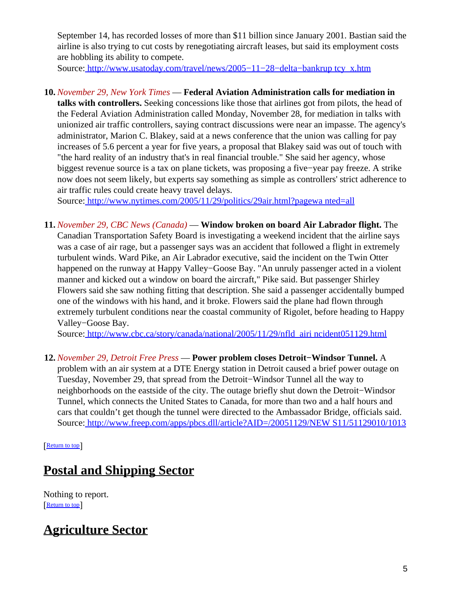September 14, has recorded losses of more than \$11 billion since January 2001. Bastian said the airline is also trying to cut costs by renegotiating aircraft leases, but said its employment costs are hobbling its ability to compete.

Source[: http://www.usatoday.com/travel/news/2005−11−28−delta−bankrup tcy\\_x.htm](http://www.usatoday.com/travel/news/2005-11-28-delta-bankruptcy_x.htm)

### **10.** *November 29, New York Times* — **Federal Aviation Administration calls for mediation in**

**talks with controllers.** Seeking concessions like those that airlines got from pilots, the head of the Federal Aviation Administration called Monday, November 28, for mediation in talks with unionized air traffic controllers, saying contract discussions were near an impasse. The agency's administrator, Marion C. Blakey, said at a news conference that the union was calling for pay increases of 5.6 percent a year for five years, a proposal that Blakey said was out of touch with "the hard reality of an industry that's in real financial trouble." She said her agency, whose biggest revenue source is a tax on plane tickets, was proposing a five−year pay freeze. A strike now does not seem likely, but experts say something as simple as controllers' strict adherence to air traffic rules could create heavy travel delays.

Source[: http://www.nytimes.com/2005/11/29/politics/29air.html?pagewa nted=all](http://www.nytimes.com/2005/11/29/politics/29air.html?pagewanted=all)

**11.** *November 29, CBC News (Canada)* — **Window broken on board Air Labrador flight.** The Canadian Transportation Safety Board is investigating a weekend incident that the airline says was a case of air rage, but a passenger says was an accident that followed a flight in extremely turbulent winds. Ward Pike, an Air Labrador executive, said the incident on the Twin Otter happened on the runway at Happy Valley−Goose Bay. "An unruly passenger acted in a violent manner and kicked out a window on board the aircraft," Pike said. But passenger Shirley Flowers said she saw nothing fitting that description. She said a passenger accidentally bumped one of the windows with his hand, and it broke. Flowers said the plane had flown through extremely turbulent conditions near the coastal community of Rigolet, before heading to Happy Valley−Goose Bay.

Source[: http://www.cbc.ca/story/canada/national/2005/11/29/nfld\\_airi ncident051129.html](http://www.cbc.ca/story/canada/national/2005/11/29/nfld_airincident051129.html)

**12.** *November 29, Detroit Free Press* — **Power problem closes Detroit−Windsor Tunnel.** A problem with an air system at a DTE Energy station in Detroit caused a brief power outage on Tuesday, November 29, that spread from the Detroit−Windsor Tunnel all the way to neighborhoods on the eastside of the city. The outage briefly shut down the Detroit−Windsor Tunnel, which connects the United States to Canada, for more than two and a half hours and cars that couldn't get though the tunnel were directed to the Ambassador Bridge, officials said. Source[: http://www.freep.com/apps/pbcs.dll/article?AID=/20051129/NEW S11/51129010/1013](http://www.freep.com/apps/pbcs.dll/article?AID=/20051129/NEWS11/51129010/1013)

#### [[Return to top](#page-0-1)]

# <span id="page-4-0"></span>**Postal and Shipping Sector**

Nothing to report. [[Return to top](#page-0-1)]

# <span id="page-4-1"></span>**Agriculture Sector**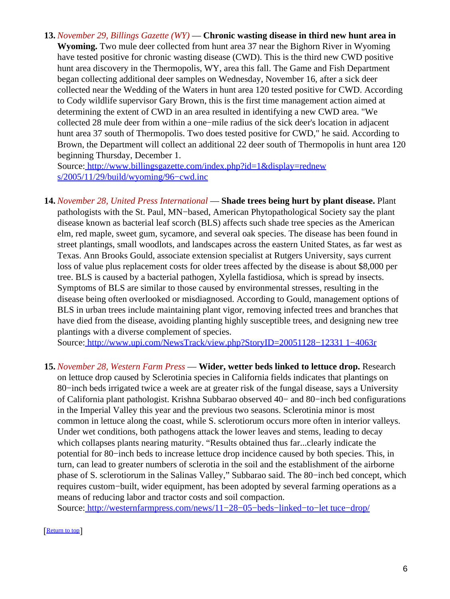**13.** *November 29, Billings Gazette (WY)* — **Chronic wasting disease in third new hunt area in Wyoming.** Two mule deer collected from hunt area 37 near the Bighorn River in Wyoming have tested positive for chronic wasting disease (CWD). This is the third new CWD positive hunt area discovery in the Thermopolis, WY, area this fall. The Game and Fish Department began collecting additional deer samples on Wednesday, November 16, after a sick deer collected near the Wedding of the Waters in hunt area 120 tested positive for CWD. According to Cody wildlife supervisor Gary Brown, this is the first time management action aimed at determining the extent of CWD in an area resulted in identifying a new CWD area. "We collected 28 mule deer from within a one−mile radius of the sick deer's location in adjacent hunt area 37 south of Thermopolis. Two does tested positive for CWD," he said. According to Brown, the Department will collect an additional 22 deer south of Thermopolis in hunt area 120 beginning Thursday, December 1.

Source[: http://www.billingsgazette.com/index.php?id=1&display=rednew](http://www.billingsgazette.com/index.php?id=1&display=rednews/2005/11/29/build/wyoming/96-cwd.inc) s/2005/11/29/build/wyoming/96–cwd.inc

**14.** *November 28, United Press International* — **Shade trees being hurt by plant disease.** Plant pathologists with the St. Paul, MN−based, American Phytopathological Society say the plant disease known as bacterial leaf scorch (BLS) affects such shade tree species as the American elm, red maple, sweet gum, sycamore, and several oak species. The disease has been found in street plantings, small woodlots, and landscapes across the eastern United States, as far west as Texas. Ann Brooks Gould, associate extension specialist at Rutgers University, says current loss of value plus replacement costs for older trees affected by the disease is about \$8,000 per tree. BLS is caused by a bacterial pathogen, Xylella fastidiosa, which is spread by insects. Symptoms of BLS are similar to those caused by environmental stresses, resulting in the disease being often overlooked or misdiagnosed. According to Gould, management options of BLS in urban trees include maintaining plant vigor, removing infected trees and branches that have died from the disease, avoiding planting highly susceptible trees, and designing new tree plantings with a diverse complement of species.

Source[: http://www.upi.com/NewsTrack/view.php?StoryID=20051128−12331 1−4063r](http://www.upi.com/NewsTrack/view.php?StoryID=20051128-123311-4063r)

**15.** *November 28, Western Farm Press* — **Wider, wetter beds linked to lettuce drop.** Research on lettuce drop caused by Sclerotinia species in California fields indicates that plantings on 80−inch beds irrigated twice a week are at greater risk of the fungal disease, says a University of California plant pathologist. Krishna Subbarao observed 40− and 80−inch bed configurations in the Imperial Valley this year and the previous two seasons. Sclerotinia minor is most common in lettuce along the coast, while S. sclerotiorum occurs more often in interior valleys. Under wet conditions, both pathogens attack the lower leaves and stems, leading to decay which collapses plants nearing maturity. "Results obtained thus far...clearly indicate the potential for 80−inch beds to increase lettuce drop incidence caused by both species. This, in turn, can lead to greater numbers of sclerotia in the soil and the establishment of the airborne phase of S. sclerotiorum in the Salinas Valley," Subbarao said. The 80−inch bed concept, which requires custom−built, wider equipment, has been adopted by several farming operations as a means of reducing labor and tractor costs and soil compaction.

Source[: http://westernfarmpress.com/news/11−28−05−beds−linked−to−let tuce−drop/](http://westernfarmpress.com/news/11-28-05-beds-linked-to-lettuce-drop/)

[[Return to top](#page-0-1)]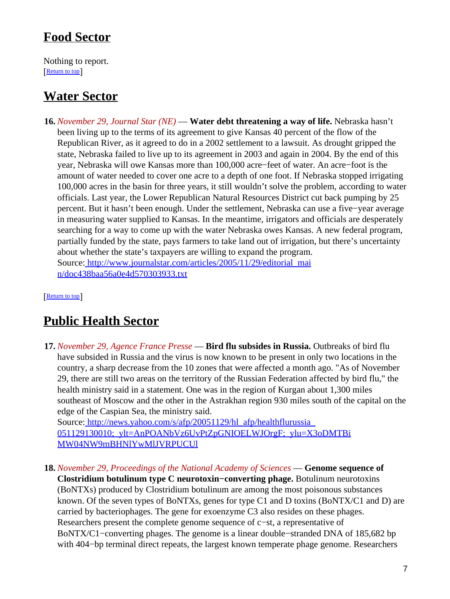## <span id="page-6-0"></span>**Food Sector**

Nothing to report. **[Return to top](#page-0-1)** 

# <span id="page-6-1"></span>**Water Sector**

**16.** *November 29, Journal Star (NE)* — **Water debt threatening a way of life.** Nebraska hasn't been living up to the terms of its agreement to give Kansas 40 percent of the flow of the Republican River, as it agreed to do in a 2002 settlement to a lawsuit. As drought gripped the state, Nebraska failed to live up to its agreement in 2003 and again in 2004. By the end of this year, Nebraska will owe Kansas more than 100,000 acre−feet of water. An acre−foot is the amount of water needed to cover one acre to a depth of one foot. If Nebraska stopped irrigating 100,000 acres in the basin for three years, it still wouldn't solve the problem, according to water officials. Last year, the Lower Republican Natural Resources District cut back pumping by 25 percent. But it hasn't been enough. Under the settlement, Nebraska can use a five−year average in measuring water supplied to Kansas. In the meantime, irrigators and officials are desperately searching for a way to come up with the water Nebraska owes Kansas. A new federal program, partially funded by the state, pays farmers to take land out of irrigation, but there's uncertainty about whether the state's taxpayers are willing to expand the program. Source[: http://www.journalstar.com/articles/2005/11/29/editorial\\_mai](http://www.journalstar.com/articles/2005/11/29/editorial_main/doc438baa56a0e4d570303933.txt) [n/doc438baa56a0e4d570303933.txt](http://www.journalstar.com/articles/2005/11/29/editorial_main/doc438baa56a0e4d570303933.txt)

[[Return to top](#page-0-1)]

# <span id="page-6-2"></span>**Public Health Sector**

**17.** *November 29, Agence France Presse* — **Bird flu subsides in Russia.** Outbreaks of bird flu have subsided in Russia and the virus is now known to be present in only two locations in the country, a sharp decrease from the 10 zones that were affected a month ago. "As of November 29, there are still two areas on the territory of the Russian Federation affected by bird flu," the health ministry said in a statement. One was in the region of Kurgan about 1,300 miles southeast of Moscow and the other in the Astrakhan region 930 miles south of the capital on the edge of the Caspian Sea, the ministry said.

Source: http://news.yahoo.com/s/afp/20051129/hl\_afp/healthflurussia 051129130010; ylt=AnPOANbVz6UvPtZpGNIOELWJOrgF; ylu=X3oDMTBi [MW04NW9mBHNlYwMlJVRPUCUl](http://news.yahoo.com/s/afp/20051129/hl_afp/healthflurussia_051129130010;_ylt=AnPOANbVz6UvPtZpGNIOELWJOrgF;_ylu=X3oDMTBiMW04NW9mBHNlYwMlJVRPUCUl)

**18.** *November 29, Proceedings of the National Academy of Sciences* — **Genome sequence of Clostridium botulinum type C neurotoxin−converting phage.** Botulinum neurotoxins (BoNTXs) produced by Clostridium botulinum are among the most poisonous substances known. Of the seven types of BoNTXs, genes for type C1 and D toxins (BoNTX/C1 and D) are carried by bacteriophages. The gene for exoenzyme C3 also resides on these phages. Researchers present the complete genome sequence of c−st, a representative of BoNTX/C1−converting phages. The genome is a linear double−stranded DNA of 185,682 bp with 404−bp terminal direct repeats, the largest known temperate phage genome. Researchers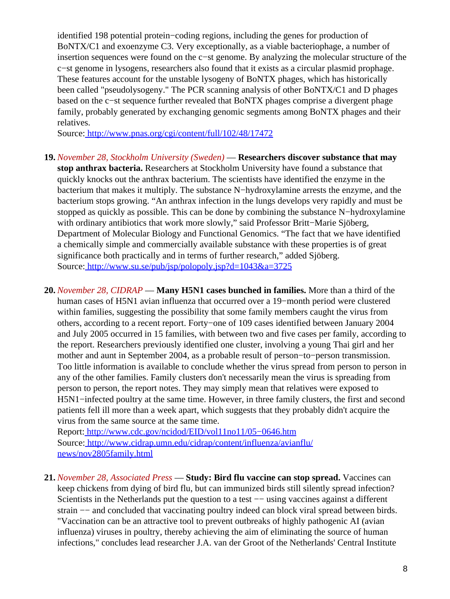identified 198 potential protein−coding regions, including the genes for production of BoNTX/C1 and exoenzyme C3. Very exceptionally, as a viable bacteriophage, a number of insertion sequences were found on the c−st genome. By analyzing the molecular structure of the c−st genome in lysogens, researchers also found that it exists as a circular plasmid prophage. These features account for the unstable lysogeny of BoNTX phages, which has historically been called "pseudolysogeny." The PCR scanning analysis of other BoNTX/C1 and D phages based on the c−st sequence further revealed that BoNTX phages comprise a divergent phage family, probably generated by exchanging genomic segments among BoNTX phages and their relatives.

Source[: http://www.pnas.org/cgi/content/full/102/48/17472](http://www.pnas.org/cgi/content/full/102/48/17472)

- **19.** *November 28, Stockholm University (Sweden)* — **Researchers discover substance that may stop anthrax bacteria.** Researchers at Stockholm University have found a substance that quickly knocks out the anthrax bacterium. The scientists have identified the enzyme in the bacterium that makes it multiply. The substance N−hydroxylamine arrests the enzyme, and the bacterium stops growing. "An anthrax infection in the lungs develops very rapidly and must be stopped as quickly as possible. This can be done by combining the substance N−hydroxylamine with ordinary antibiotics that work more slowly," said Professor Britt−Marie Sjöberg, Department of Molecular Biology and Functional Genomics. "The fact that we have identified a chemically simple and commercially available substance with these properties is of great significance both practically and in terms of further research," added Sjöberg. Source[: http://www.su.se/pub/jsp/polopoly.jsp?d=1043&a=3725](http://www.su.se/pub/jsp/polopoly.jsp?d=1043&a=3725)
- **20.** *November 28, CIDRAP* — **Many H5N1 cases bunched in families.** More than a third of the human cases of H5N1 avian influenza that occurred over a 19−month period were clustered within families, suggesting the possibility that some family members caught the virus from others, according to a recent report. Forty−one of 109 cases identified between January 2004 and July 2005 occurred in 15 families, with between two and five cases per family, according to the report. Researchers previously identified one cluster, involving a young Thai girl and her mother and aunt in September 2004, as a probable result of person−to−person transmission. Too little information is available to conclude whether the virus spread from person to person in any of the other families. Family clusters don't necessarily mean the virus is spreading from person to person, the report notes. They may simply mean that relatives were exposed to H5N1−infected poultry at the same time. However, in three family clusters, the first and second patients fell ill more than a week apart, which suggests that they probably didn't acquire the virus from the same source at the same time.

Report: [http://www.cdc.gov/ncidod/EID/vol11no11/05−0646.htm](http://www.cdc.gov/ncidod/EID/vol11no11/05-0646.htm) Source[: http://www.cidrap.umn.edu/cidrap/content/influenza/avianflu/](http://www.cidrap.umn.edu/cidrap/content/influenza/avianflu/news/nov2805family.html) [news/nov2805family.html](http://www.cidrap.umn.edu/cidrap/content/influenza/avianflu/news/nov2805family.html)

**21.** *November 28, Associated Press* — **Study: Bird flu vaccine can stop spread.** Vaccines can keep chickens from dying of bird flu, but can immunized birds still silently spread infection? Scientists in the Netherlands put the question to a test — using vaccines against a different strain  $-$  and concluded that vaccinating poultry indeed can block viral spread between birds. "Vaccination can be an attractive tool to prevent outbreaks of highly pathogenic AI (avian influenza) viruses in poultry, thereby achieving the aim of eliminating the source of human infections," concludes lead researcher J.A. van der Groot of the Netherlands' Central Institute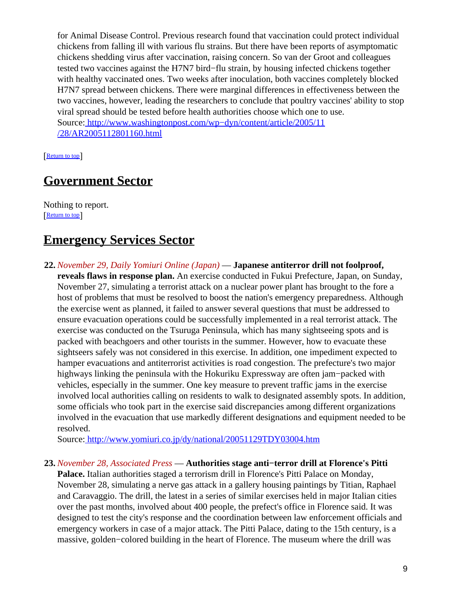for Animal Disease Control. Previous research found that vaccination could protect individual chickens from falling ill with various flu strains. But there have been reports of asymptomatic chickens shedding virus after vaccination, raising concern. So van der Groot and colleagues tested two vaccines against the H7N7 bird−flu strain, by housing infected chickens together with healthy vaccinated ones. Two weeks after inoculation, both vaccines completely blocked H7N7 spread between chickens. There were marginal differences in effectiveness between the two vaccines, however, leading the researchers to conclude that poultry vaccines' ability to stop viral spread should be tested before health authorities choose which one to use. Source[: http://www.washingtonpost.com/wp−dyn/content/article/2005/11](http://www.washingtonpost.com/wp-dyn/content/article/2005/11/28/AR2005112801160.html) [/28/AR2005112801160.html](http://www.washingtonpost.com/wp-dyn/content/article/2005/11/28/AR2005112801160.html)

[[Return to top](#page-0-1)]

## <span id="page-8-0"></span>**Government Sector**

Nothing to report. [[Return to top](#page-0-1)]

## <span id="page-8-1"></span>**Emergency Services Sector**

**22.** *November 29, Daily Yomiuri Online (Japan)* — **Japanese antiterror drill not foolproof, reveals flaws in response plan.** An exercise conducted in Fukui Prefecture, Japan, on Sunday, November 27, simulating a terrorist attack on a nuclear power plant has brought to the fore a host of problems that must be resolved to boost the nation's emergency preparedness. Although the exercise went as planned, it failed to answer several questions that must be addressed to ensure evacuation operations could be successfully implemented in a real terrorist attack. The exercise was conducted on the Tsuruga Peninsula, which has many sightseeing spots and is packed with beachgoers and other tourists in the summer. However, how to evacuate these sightseers safely was not considered in this exercise. In addition, one impediment expected to hamper evacuations and antiterrorist activities is road congestion. The prefecture's two major highways linking the peninsula with the Hokuriku Expressway are often jam−packed with vehicles, especially in the summer. One key measure to prevent traffic jams in the exercise involved local authorities calling on residents to walk to designated assembly spots. In addition, some officials who took part in the exercise said discrepancies among different organizations involved in the evacuation that use markedly different designations and equipment needed to be resolved.

Source[: http://www.yomiuri.co.jp/dy/national/20051129TDY03004.htm](http://www.yomiuri.co.jp/dy/national/20051129TDY03004.htm)

#### **23.** *November 28, Associated Press* — **Authorities stage anti−terror drill at Florence's Pitti**

**Palace.** Italian authorities staged a terrorism drill in Florence's Pitti Palace on Monday, November 28, simulating a nerve gas attack in a gallery housing paintings by Titian, Raphael and Caravaggio. The drill, the latest in a series of similar exercises held in major Italian cities over the past months, involved about 400 people, the prefect's office in Florence said. It was designed to test the city's response and the coordination between law enforcement officials and emergency workers in case of a major attack. The Pitti Palace, dating to the 15th century, is a massive, golden−colored building in the heart of Florence. The museum where the drill was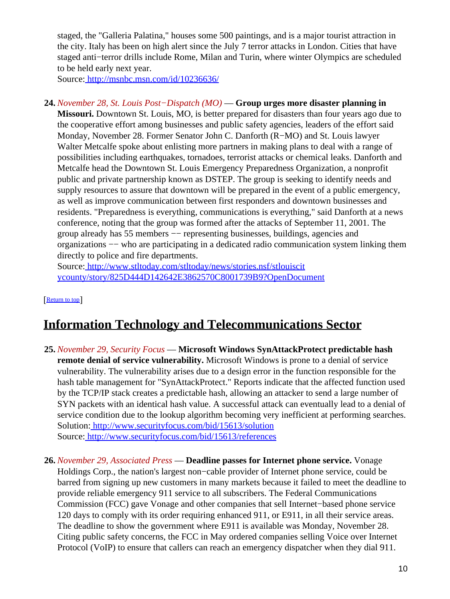staged, the "Galleria Palatina," houses some 500 paintings, and is a major tourist attraction in the city. Italy has been on high alert since the July 7 terror attacks in London. Cities that have staged anti−terror drills include Rome, Milan and Turin, where winter Olympics are scheduled to be held early next year.

Source[: http://msnbc.msn.com/id/10236636/](http://msnbc.msn.com/id/10236636/)

**24.** *November 28, St. Louis Post−Dispatch (MO)* — **Group urges more disaster planning in Missouri.** Downtown St. Louis, MO, is better prepared for disasters than four years ago due to the cooperative effort among businesses and public safety agencies, leaders of the effort said Monday, November 28. Former Senator John C. Danforth (R−MO) and St. Louis lawyer Walter Metcalfe spoke about enlisting more partners in making plans to deal with a range of possibilities including earthquakes, tornadoes, terrorist attacks or chemical leaks. Danforth and Metcalfe head the Downtown St. Louis Emergency Preparedness Organization, a nonprofit public and private partnership known as DSTEP. The group is seeking to identify needs and supply resources to assure that downtown will be prepared in the event of a public emergency, as well as improve communication between first responders and downtown businesses and residents. "Preparedness is everything, communications is everything," said Danforth at a news conference, noting that the group was formed after the attacks of September 11, 2001. The group already has 55 members −− representing businesses, buildings, agencies and organizations −− who are participating in a dedicated radio communication system linking them directly to police and fire departments.

Source[: http://www.stltoday.com/stltoday/news/stories.nsf/stlouiscit](http://www.stltoday.com/stltoday/news/stories.nsf/stlouiscitycounty/story/825D444D142642E3862570C8001739B9?OpenDocument) [ycounty/story/825D444D142642E3862570C8001739B9?OpenDocument](http://www.stltoday.com/stltoday/news/stories.nsf/stlouiscitycounty/story/825D444D142642E3862570C8001739B9?OpenDocument)

[[Return to top](#page-0-1)]

# <span id="page-9-0"></span>**Information Technology and Telecommunications Sector**

- **25.** *November 29, Security Focus* — **Microsoft Windows SynAttackProtect predictable hash remote denial of service vulnerability.** Microsoft Windows is prone to a denial of service vulnerability. The vulnerability arises due to a design error in the function responsible for the hash table management for "SynAttackProtect." Reports indicate that the affected function used by the TCP/IP stack creates a predictable hash, allowing an attacker to send a large number of SYN packets with an identical hash value. A successful attack can eventually lead to a denial of service condition due to the lookup algorithm becoming very inefficient at performing searches. Solution:<http://www.securityfocus.com/bid/15613/solution> Source[: http://www.securityfocus.com/bid/15613/references](http://www.securityfocus.com/bid/15613/references)
- **26.** *November 29, Associated Press* — **Deadline passes for Internet phone service.** Vonage Holdings Corp., the nation's largest non−cable provider of Internet phone service, could be barred from signing up new customers in many markets because it failed to meet the deadline to provide reliable emergency 911 service to all subscribers. The Federal Communications Commission (FCC) gave Vonage and other companies that sell Internet−based phone service 120 days to comply with its order requiring enhanced 911, or E911, in all their service areas. The deadline to show the government where E911 is available was Monday, November 28. Citing public safety concerns, the FCC in May ordered companies selling Voice over Internet Protocol (VoIP) to ensure that callers can reach an emergency dispatcher when they dial 911.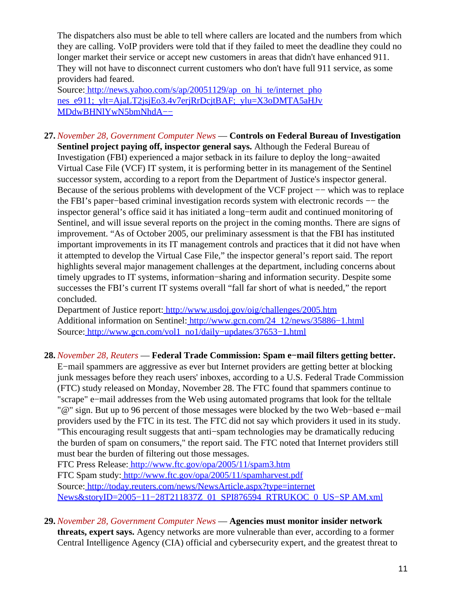The dispatchers also must be able to tell where callers are located and the numbers from which they are calling. VoIP providers were told that if they failed to meet the deadline they could no longer market their service or accept new customers in areas that didn't have enhanced 911. They will not have to disconnect current customers who don't have full 911 service, as some providers had feared.

Source[: http://news.yahoo.com/s/ap/20051129/ap\\_on\\_hi\\_te/internet\\_pho](http://news.yahoo.com/s/ap/20051129/ap_on_hi_te/internet_phones_e911;_ylt=AjaLT2jsjEo3.4v7erjRrDcjtBAF;_ylu=X3oDMTA5aHJvMDdwBHNlYwN5bmNhdA--) nes\_e911;\_vlt=AjaLT2jsjEo3.4v7erjRrDcjtBAF;\_ylu=X3oDMTA5aHJv [MDdwBHNlYwN5bmNhdA−−](http://news.yahoo.com/s/ap/20051129/ap_on_hi_te/internet_phones_e911;_ylt=AjaLT2jsjEo3.4v7erjRrDcjtBAF;_ylu=X3oDMTA5aHJvMDdwBHNlYwN5bmNhdA--)

**27.** *November 28, Government Computer News* — **Controls on Federal Bureau of Investigation Sentinel project paying off, inspector general says.** Although the Federal Bureau of Investigation (FBI) experienced a major setback in its failure to deploy the long−awaited Virtual Case File (VCF) IT system, it is performing better in its management of the Sentinel successor system, according to a report from the Department of Justice's inspector general. Because of the serious problems with development of the VCF project −− which was to replace the FBI's paper−based criminal investigation records system with electronic records −− the inspector general's office said it has initiated a long−term audit and continued monitoring of Sentinel, and will issue several reports on the project in the coming months. There are signs of improvement. "As of October 2005, our preliminary assessment is that the FBI has instituted important improvements in its IT management controls and practices that it did not have when it attempted to develop the Virtual Case File," the inspector general's report said. The report highlights several major management challenges at the department, including concerns about timely upgrades to IT systems, information−sharing and information security. Despite some successes the FBI's current IT systems overall "fall far short of what is needed," the report concluded.

Department of Justice report[: http://www.usdoj.gov/oig/challenges/2005.htm](http://www.usdoj.gov/oig/challenges/2005.htm) Additional information on Sentinel: [http://www.gcn.com/24\\_12/news/35886−1.html](http://www.gcn.com/24_12/news/35886-1.html) Source[: http://www.gcn.com/vol1\\_no1/daily−updates/37653−1.html](http://www.gcn.com/vol1_no1/daily-updates/37653-1.html)

#### **28.** *November 28, Reuters* — **Federal Trade Commission: Spam e−mail filters getting better.**

E−mail spammers are aggressive as ever but Internet providers are getting better at blocking junk messages before they reach users' inboxes, according to a U.S. Federal Trade Commission (FTC) study released on Monday, November 28. The FTC found that spammers continue to "scrape" e−mail addresses from the Web using automated programs that look for the telltale "@" sign. But up to 96 percent of those messages were blocked by the two Web−based e−mail providers used by the FTC in its test. The FTC did not say which providers it used in its study. "This encouraging result suggests that anti−spam technologies may be dramatically reducing the burden of spam on consumers," the report said. The FTC noted that Internet providers still must bear the burden of filtering out those messages.

FTC Press Release:<http://www.ftc.gov/opa/2005/11/spam3.htm> FTC Spam study:<http://www.ftc.gov/opa/2005/11/spamharvest.pdf> Source[: http://today.reuters.com/news/NewsArticle.aspx?type=internet](http://today.reuters.com/news/NewsArticle.aspx?type=internetNews&storyID=2005-11-28T211837Z_01_SPI876594_RTRUKOC_0_US-SPAM.xml) News&storyID=2005−11−28T211837Z\_01\_SPI876594\_RTRUKOC\_0\_US–SP AM.xml

**29.** *November 28, Government Computer News* — **Agencies must monitor insider network**

**threats, expert says.** Agency networks are more vulnerable than ever, according to a former Central Intelligence Agency (CIA) official and cybersecurity expert, and the greatest threat to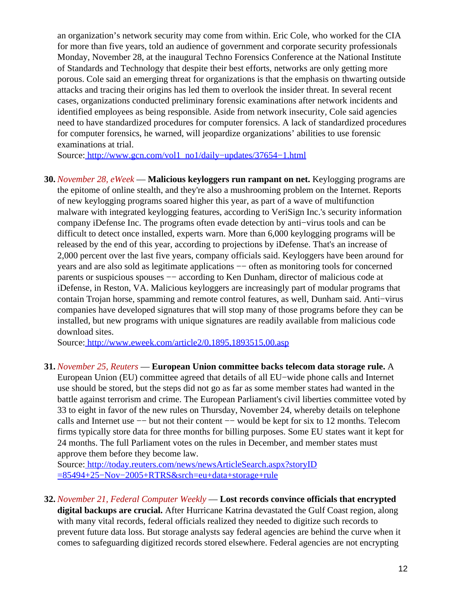an organization's network security may come from within. Eric Cole, who worked for the CIA for more than five years, told an audience of government and corporate security professionals Monday, November 28, at the inaugural Techno Forensics Conference at the National Institute of Standards and Technology that despite their best efforts, networks are only getting more porous. Cole said an emerging threat for organizations is that the emphasis on thwarting outside attacks and tracing their origins has led them to overlook the insider threat. In several recent cases, organizations conducted preliminary forensic examinations after network incidents and identified employees as being responsible. Aside from network insecurity, Cole said agencies need to have standardized procedures for computer forensics. A lack of standardized procedures for computer forensics, he warned, will jeopardize organizations' abilities to use forensic examinations at trial.

Source[: http://www.gcn.com/vol1\\_no1/daily−updates/37654−1.html](http://www.gcn.com/vol1_no1/daily-updates/37654-1.html)

**30.** *November 28, eWeek* — **Malicious keyloggers run rampant on net.** Keylogging programs are the epitome of online stealth, and they're also a mushrooming problem on the Internet. Reports of new keylogging programs soared higher this year, as part of a wave of multifunction malware with integrated keylogging features, according to VeriSign Inc.'s security information company iDefense Inc. The programs often evade detection by anti−virus tools and can be difficult to detect once installed, experts warn. More than 6,000 keylogging programs will be released by the end of this year, according to projections by iDefense. That's an increase of 2,000 percent over the last five years, company officials said. Keyloggers have been around for years and are also sold as legitimate applications  $-$  often as monitoring tools for concerned parents or suspicious spouses  $-$  according to Ken Dunham, director of malicious code at iDefense, in Reston, VA. Malicious keyloggers are increasingly part of modular programs that contain Trojan horse, spamming and remote control features, as well, Dunham said. Anti−virus companies have developed signatures that will stop many of those programs before they can be installed, but new programs with unique signatures are readily available from malicious code download sites.

Source[: http://www.eweek.com/article2/0,1895,1893515,00.asp](http://www.eweek.com/article2/0,1895,1893515,00.asp)

#### **31.** *November 25, Reuters* — **European Union committee backs telecom data storage rule.** A

European Union (EU) committee agreed that details of all EU−wide phone calls and Internet use should be stored, but the steps did not go as far as some member states had wanted in the battle against terrorism and crime. The European Parliament's civil liberties committee voted by 33 to eight in favor of the new rules on Thursday, November 24, whereby details on telephone calls and Internet use −− but not their content −− would be kept for six to 12 months. Telecom firms typically store data for three months for billing purposes. Some EU states want it kept for 24 months. The full Parliament votes on the rules in December, and member states must approve them before they become law.

Source[: http://today.reuters.com/news/newsArticleSearch.aspx?storyID](http://today.reuters.com/news/newsArticleSearch.aspx?storyID=85494+25-Nov-2005+RTRS&srch=eu+data+storage+rule) [=85494+25−Nov−2005+RTRS&srch=eu+data+storage+rule](http://today.reuters.com/news/newsArticleSearch.aspx?storyID=85494+25-Nov-2005+RTRS&srch=eu+data+storage+rule)

**32.** *November 21, Federal Computer Weekly* — **Lost records convince officials that encrypted**

**digital backups are crucial.** After Hurricane Katrina devastated the Gulf Coast region, along with many vital records, federal officials realized they needed to digitize such records to prevent future data loss. But storage analysts say federal agencies are behind the curve when it comes to safeguarding digitized records stored elsewhere. Federal agencies are not encrypting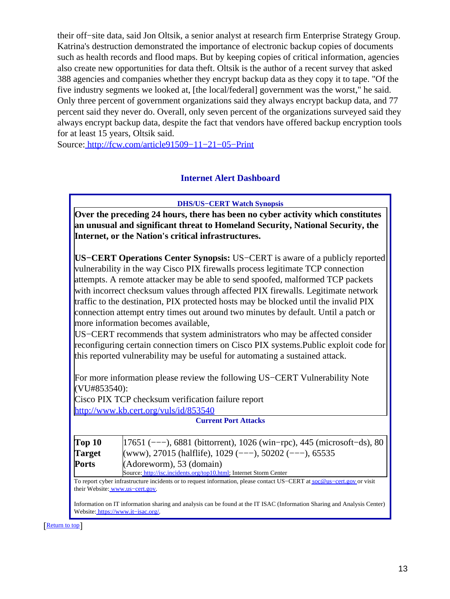their off−site data, said Jon Oltsik, a senior analyst at research firm Enterprise Strategy Group. Katrina's destruction demonstrated the importance of electronic backup copies of documents such as health records and flood maps. But by keeping copies of critical information, agencies also create new opportunities for data theft. Oltsik is the author of a recent survey that asked 388 agencies and companies whether they encrypt backup data as they copy it to tape. "Of the five industry segments we looked at, [the local/federal] government was the worst," he said. Only three percent of government organizations said they always encrypt backup data, and 77 percent said they never do. Overall, only seven percent of the organizations surveyed said they always encrypt backup data, despite the fact that vendors have offered backup encryption tools for at least 15 years, Oltsik said.

<span id="page-12-0"></span>Source[: http://fcw.com/article91509−11−21−05−Print](http://fcw.com/article91509-11-21-05-Print)

#### **Internet Alert Dashboard**

**DHS/US−CERT Watch Synopsis**

**Over the preceding 24 hours, there has been no cyber activity which constitutes an unusual and significant threat to Homeland Security, National Security, the Internet, or the Nation's critical infrastructures.**

**US−CERT Operations Center Synopsis:** US−CERT is aware of a publicly reported vulnerability in the way Cisco PIX firewalls process legitimate TCP connection attempts. A remote attacker may be able to send spoofed, malformed TCP packets with incorrect checksum values through affected PIX firewalls. Legitimate network traffic to the destination, PIX protected hosts may be blocked until the invalid PIX connection attempt entry times out around two minutes by default. Until a patch or more information becomes available,

US−CERT recommends that system administrators who may be affected consider reconfiguring certain connection timers on Cisco PIX systems.Public exploit code for this reported vulnerability may be useful for automating a sustained attack.

For more information please review the following US−CERT Vulnerability Note (VU#853540):

Cisco PIX TCP checksum verification failure report <http://www.kb.cert.org/vuls/id/853540>

|               | <b>Current Port Attacks</b>                                               |
|---------------|---------------------------------------------------------------------------|
| Top 10        | $ 17651$ (---), 6881 (bittorrent), 1026 (win-rpc), 445 (microsoft-ds), 80 |
| <b>Target</b> | (www), 27015 (halflife), 1029 (---), 50202 (---), 65535                   |
| <b>Ports</b>  | (Adoreworm), 53 (domain)                                                  |
|               | Source: http://isc.incidents.org/top10.html; Internet Storm Center        |

To report cyber infrastructure incidents or to request information, please contact US–CERT at soc@us–cert.gov or visit their Website: [www.us−cert.gov.](http://www.us-cert.gov/)

Information on IT information sharing and analysis can be found at the IT ISAC (Information Sharing and Analysis Center) Website: [https://www.it−isac.org/.](https://www.it-isac.org/)

[[Return to top](#page-0-1)]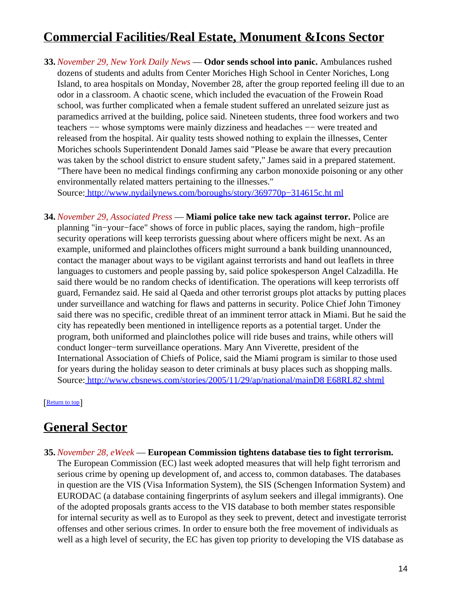# <span id="page-13-1"></span>**Commercial Facilities/Real Estate, Monument &Icons Sector**

**33.** *November 29, New York Daily News* — **Odor sends school into panic.** Ambulances rushed dozens of students and adults from Center Moriches High School in Center Noriches, Long Island, to area hospitals on Monday, November 28, after the group reported feeling ill due to an odor in a classroom. A chaotic scene, which included the evacuation of the Frowein Road school, was further complicated when a female student suffered an unrelated seizure just as paramedics arrived at the building, police said. Nineteen students, three food workers and two teachers −− whose symptoms were mainly dizziness and headaches −− were treated and released from the hospital. Air quality tests showed nothing to explain the illnesses, Center Moriches schools Superintendent Donald James said "Please be aware that every precaution was taken by the school district to ensure student safety," James said in a prepared statement. "There have been no medical findings confirming any carbon monoxide poisoning or any other environmentally related matters pertaining to the illnesses."

Source[: http://www.nydailynews.com/boroughs/story/369770p−314615c.ht ml](http://www.nydailynews.com/boroughs/story/369770p-314615c.html)

<span id="page-13-0"></span>**34.** *November 29, Associated Press* — **Miami police take new tack against terror.** Police are planning "in−your−face" shows of force in public places, saying the random, high−profile security operations will keep terrorists guessing about where officers might be next. As an example, uniformed and plainclothes officers might surround a bank building unannounced, contact the manager about ways to be vigilant against terrorists and hand out leaflets in three languages to customers and people passing by, said police spokesperson Angel Calzadilla. He said there would be no random checks of identification. The operations will keep terrorists off guard, Fernandez said. He said al Qaeda and other terrorist groups plot attacks by putting places under surveillance and watching for flaws and patterns in security. Police Chief John Timoney said there was no specific, credible threat of an imminent terror attack in Miami. But he said the city has repeatedly been mentioned in intelligence reports as a potential target. Under the program, both uniformed and plainclothes police will ride buses and trains, while others will conduct longer−term surveillance operations. Mary Ann Viverette, president of the International Association of Chiefs of Police, said the Miami program is similar to those used for years during the holiday season to deter criminals at busy places such as shopping malls. Source[: http://www.cbsnews.com/stories/2005/11/29/ap/national/mainD8 E68RL82.shtml](http://www.cbsnews.com/stories/2005/11/29/ap/national/mainD8E68RL82.shtml)

[[Return to top](#page-0-1)]

## <span id="page-13-2"></span>**General Sector**

**35.** *November 28, eWeek* — **European Commission tightens database ties to fight terrorism.** The European Commission (EC) last week adopted measures that will help fight terrorism and serious crime by opening up development of, and access to, common databases. The databases in question are the VIS (Visa Information System), the SIS (Schengen Information System) and EURODAC (a database containing fingerprints of asylum seekers and illegal immigrants). One of the adopted proposals grants access to the VIS database to both member states responsible for internal security as well as to Europol as they seek to prevent, detect and investigate terrorist offenses and other serious crimes. In order to ensure both the free movement of individuals as well as a high level of security, the EC has given top priority to developing the VIS database as